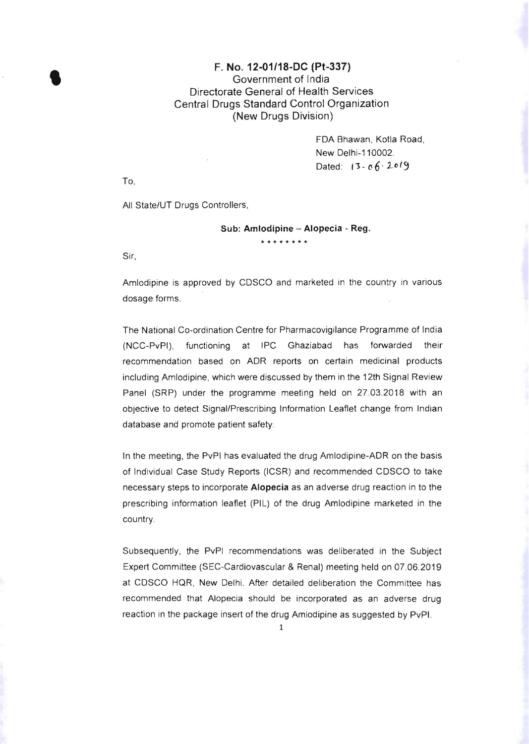## F. No. 12-01/18-DC (Pt-337)<br>
Government of India Government of India Directorate General of Health Services Central Drugs Standard Control Organization (New Drugs Division)

FDA Bhawan, Kotla Road, New Delhi-110002. Dated:  $13 - 06 \cdot 2019$ 

To,

All State/UT Drugs Controllers,

## Sub: **Amlodipine - Alopecia** - Reg.

Sir,

Amlodipine is approved by CDSCO and marketed in the country in various dosage forms.

**\*\*\*\*\*\*\*\*** 

The National Co-ordination Centre for Pharmacovigilance Programme of India (NCC-PvPI), functioning at IPC Ghaziabad has forwarded their recommendation based on ADR reports on certain medicinal products including Amlodipine, which were discussed by them in the 12th Signal Review Panel (SRP) under the programme meeting held on 27.03.2018 with an objective to detect Signal/Prescribing Information Leaflet change from Indian database and promote patient safety.

In the meeting, the PvPI has evaluated the drug Amlodipine-ADR on the basis of Individual Case Study Reports (ICSR) and recommended CDSCO to take necessary steps to incorporate Alopecia as an adverse drug reaction in to the prescribing information leaflet (PIL) of the drug Amlodipine marketed in the country.

Subsequently, the PvPI recommendations was deliberated in the Subject Expert Committee (SEC-Cardiovascular & Renal) meeting held on 07.06.2019 at CDSCO HQR, New Delhi. After detailed deliberation the Committee has recommended that Alopecia should be incorporated as an adverse drug reaction in the package insert of the drug Amlodipine as suggested by PvPI.